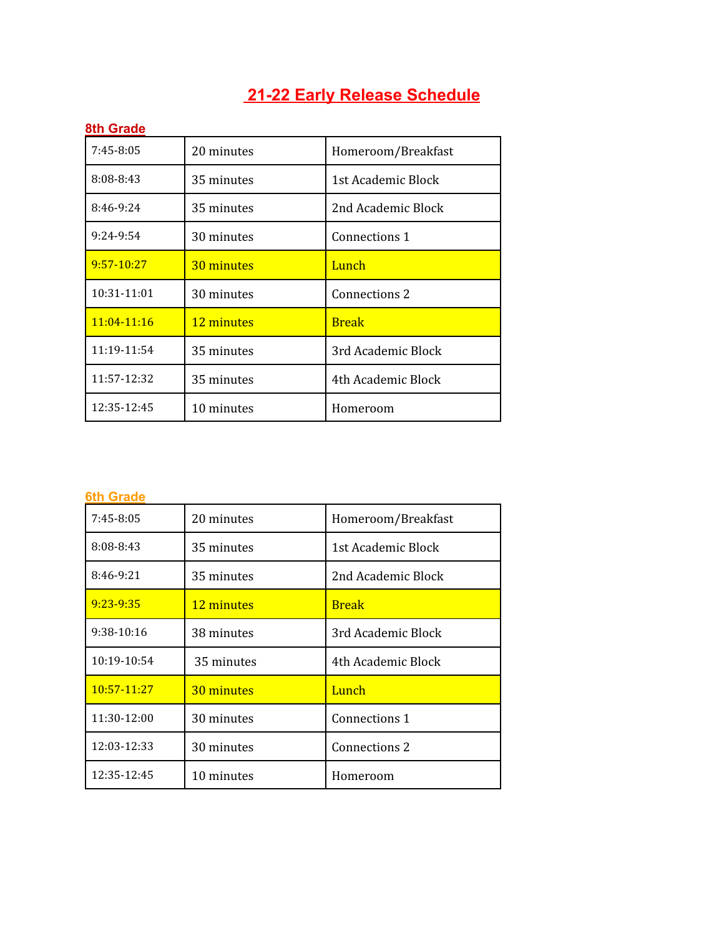## **21-22 Early Release Schedule**

| 8th Grade       |            |                    |
|-----------------|------------|--------------------|
| 7:45-8:05       | 20 minutes | Homeroom/Breakfast |
| 8:08-8:43       | 35 minutes | 1st Academic Block |
| 8:46-9:24       | 35 minutes | 2nd Academic Block |
| 9:24-9:54       | 30 minutes | Connections 1      |
| $9:57-10:27$    | 30 minutes | Lunch              |
| 10:31-11:01     | 30 minutes | Connections 2      |
| $11:04 - 11:16$ | 12 minutes | <b>Break</b>       |
| 11:19-11:54     | 35 minutes | 3rd Academic Block |
| 11:57-12:32     | 35 minutes | 4th Academic Block |
| 12:35-12:45     | 10 minutes | Homeroom           |

## **6th Grade**

| $7:45-8:05$     | 20 minutes | Homeroom/Breakfast |
|-----------------|------------|--------------------|
| 8:08-8:43       | 35 minutes | 1st Academic Block |
| 8:46-9:21       | 35 minutes | 2nd Academic Block |
| $9:23 - 9:35$   | 12 minutes | <b>Break</b>       |
| 9:38-10:16      | 38 minutes | 3rd Academic Block |
| 10:19-10:54     | 35 minutes | 4th Academic Block |
| $10:57 - 11:27$ | 30 minutes | Lunch              |
| 11:30-12:00     | 30 minutes | Connections 1      |
| 12:03-12:33     | 30 minutes | Connections 2      |
| 12:35-12:45     | 10 minutes | Homeroom           |